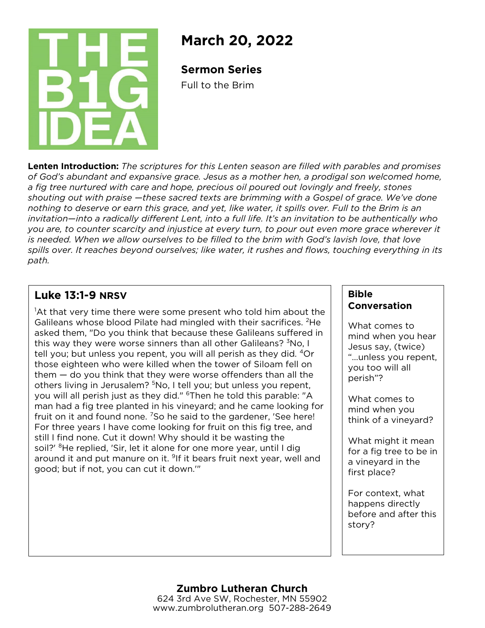

# **March 20, 2022**

**Sermon Series**

Full to the Brim

**Lenten Introduction:** *The scriptures for this Lenten season are filled with parables and promises of God's abundant and expansive grace. Jesus as a mother hen, a prodigal son welcomed home, a fig tree nurtured with care and hope, precious oil poured out lovingly and freely, stones shouting out with praise —these sacred texts are brimming with a Gospel of grace. We've done nothing to deserve or earn this grace, and yet, like water, it spills over. Full to the Brim is an invitation—into a radically different Lent, into a full life. It's an invitation to be authentically who you are, to counter scarcity and injustice at every turn, to pour out even more grace wherever it*  is needed. When we allow ourselves to be filled to the brim with God's lavish love, that love *spills over. It reaches beyond ourselves; like water, it rushes and flows, touching everything in its path.*

# **Luke 13:1-9 NRSV**

<sup>1</sup>At that very time there were some present who told him about the Galileans whose blood Pilate had mingled with their sacrifices. 2He asked them, "Do you think that because these Galileans suffered in this way they were worse sinners than all other Galileans? <sup>3</sup>No, I tell you; but unless you repent, you will all perish as they did. 4Or those eighteen who were killed when the tower of Siloam fell on them — do you think that they were worse offenders than all the others living in Jerusalem? <sup>5</sup>No, I tell you; but unless you repent, you will all perish just as they did." <sup>6</sup>Then he told this parable: "A man had a fig tree planted in his vineyard; and he came looking for fruit on it and found none. 7So he said to the gardener, 'See here! For three years I have come looking for fruit on this fig tree, and still I find none. Cut it down! Why should it be wasting the soil?' <sup>8</sup>He replied, 'Sir, let it alone for one more year, until I dig around it and put manure on it. <sup>9</sup>If it bears fruit next year, well and good; but if not, you can cut it down.'"

## **Bible Conversation**

What comes to mind when you hear Jesus say, (twice) "…unless you repent, you too will all perish"?

What comes to mind when you think of a vineyard?

What might it mean for a fig tree to be in a vineyard in the first place?

For context, what happens directly before and after this story?

#### **Zumbro Lutheran Church** 624 3rd Ave SW, Rochester, MN 55902 www.zumbrolutheran.org 507-288-2649